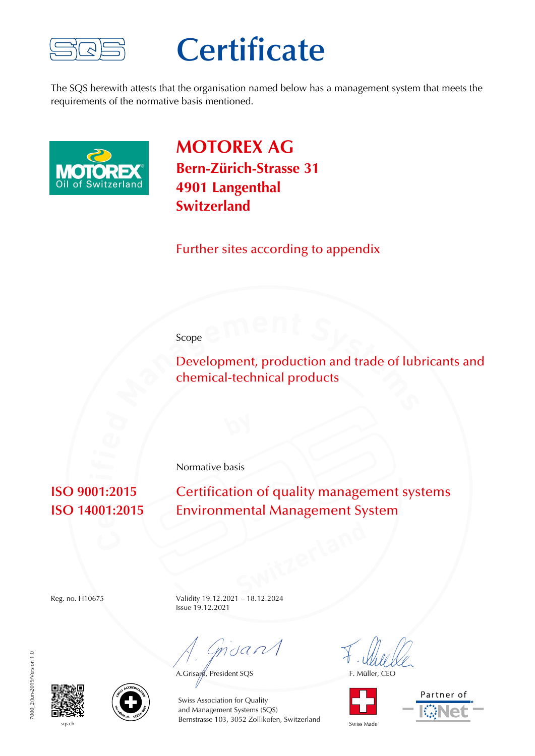

## **Certificate**

The SQS herewith attests that the organisation named below has a management system that meets the requirements of the normative basis mentioned.



**MOTOREX AG Bern-Zürich-Strasse 31 4901 Langenthal Switzerland**

Further sites according to appendix

## Scope

Development, production and trade of lubricants and chemical-technical products

Normative basis

**ISO 9001:2015** Certification of quality management systems **ISO 14001:2015** Environmental Management System

Reg. no. H10675 Validity 19.12.2021 – 18.12.2024 Issue 19.12.2021

mdar

A.Grisard, President SQS F. Müller, CEO









sqs.ch Switzerland Swiss Made Bernstrasse 103, 3052 Zollikofen, Switzerland Swiss Made Swiss Association for Quality and Management Systems (SQS)